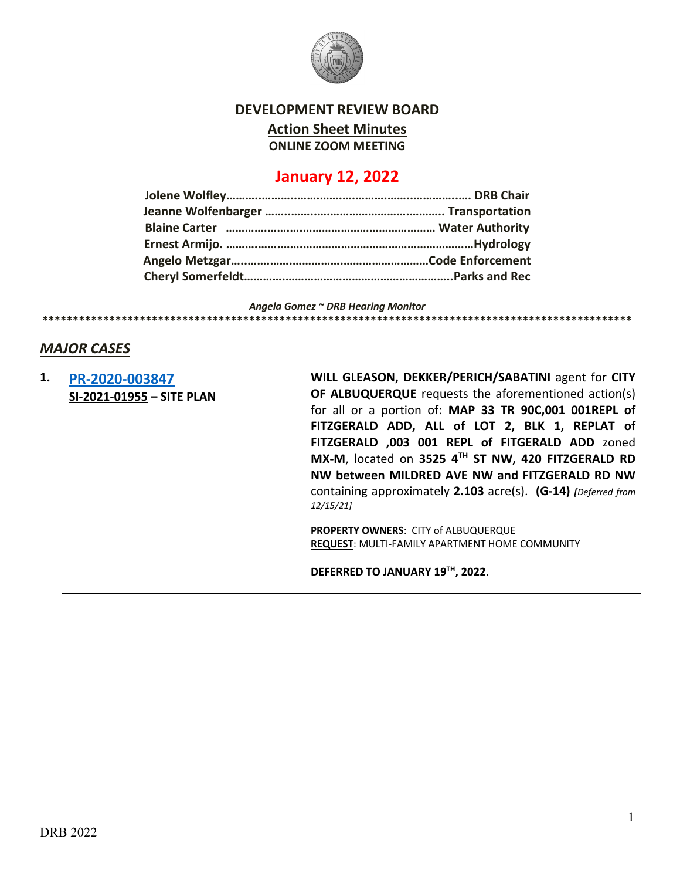

#### **DEVELOPMENT REVIEW BOARD**

**Action Sheet Minutes**

**ONLINE ZOOM MEETING**

# **January 12, 2022**

*Angela Gomez ~ DRB Hearing Monitor*

## **\*\*\*\*\*\*\*\*\*\*\*\*\*\*\*\*\*\*\*\*\*\*\*\*\*\*\*\*\*\*\*\*\*\*\*\*\*\*\*\*\*\*\*\*\*\*\*\*\*\*\*\*\*\*\*\*\*\*\*\*\*\*\*\*\*\*\*\*\*\*\*\*\*\*\*\*\*\*\*\*\*\*\*\*\*\*\*\*\*\*\*\*\*\*\*\*\***

### *MAJOR CASES*

### **1. [PR-2020-003847](http://data.cabq.gov/government/planning/DRB/PR-2020-003847/DRB%20Submittals/) SI-2021-01955 – SITE PLAN**

**WILL GLEASON, DEKKER/PERICH/SABATINI** agent for **CITY OF ALBUQUERQUE** requests the aforementioned action(s) for all or a portion of: **MAP 33 TR 90C,001 001REPL of FITZGERALD ADD, ALL of LOT 2, BLK 1, REPLAT of FITZGERALD ,003 001 REPL of FITGERALD ADD** zoned **MX-M**, located on **3525 4TH ST NW, 420 FITZGERALD RD NW between MILDRED AVE NW and FITZGERALD RD NW**  containing approximately **2.103** acre(s). **(G-14)** *[Deferred from 12/15/21]*

**PROPERTY OWNERS**: CITY of ALBUQUERQUE **REQUEST**: MULTI-FAMILY APARTMENT HOME COMMUNITY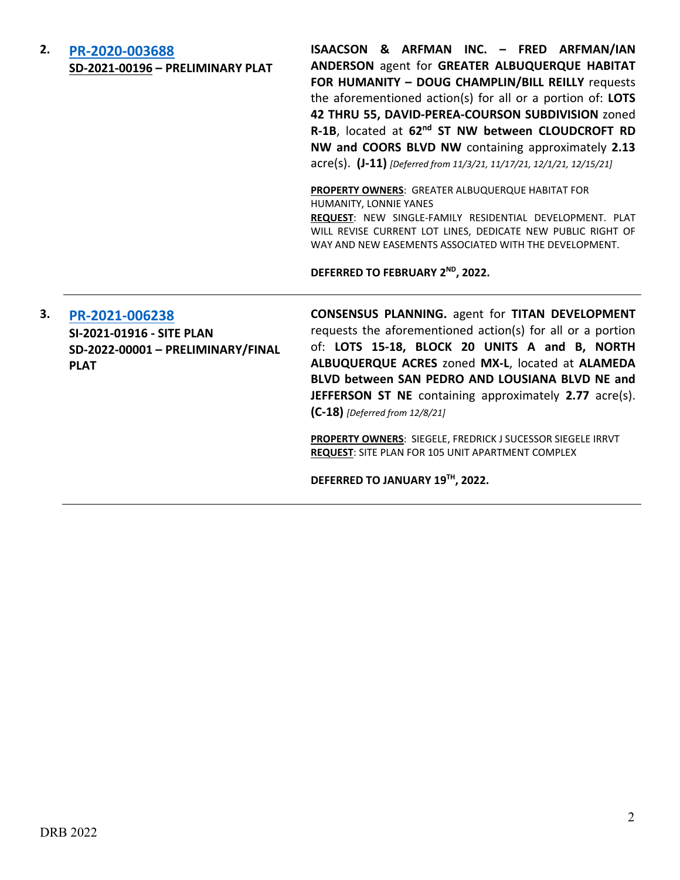## **2. [PR-2020-003688](http://data.cabq.gov/government/planning/DRB/PR-2020-003688/DRB%20Submittals/) SD-2021-00196 – PRELIMINARY PLAT**

**ISAACSON & ARFMAN INC. – FRED ARFMAN/IAN ANDERSON** agent for **GREATER ALBUQUERQUE HABITAT FOR HUMANITY – DOUG CHAMPLIN/BILL REILLY** requests the aforementioned action(s) for all or a portion of: **LOTS 42 THRU 55, DAVID-PEREA-COURSON SUBDIVISION** zoned **R-1B**, located at **62nd ST NW between CLOUDCROFT RD NW and COORS BLVD NW** containing approximately **2.13** acre(s). **(J-11)** *[Deferred from 11/3/21, 11/17/21, 12/1/21, 12/15/21]*

**PROPERTY OWNERS**: GREATER ALBUQUERQUE HABITAT FOR HUMANITY, LONNIE YANES

**REQUEST**: NEW SINGLE-FAMILY RESIDENTIAL DEVELOPMENT. PLAT WILL REVISE CURRENT LOT LINES, DEDICATE NEW PUBLIC RIGHT OF WAY AND NEW EASEMENTS ASSOCIATED WITH THE DEVELOPMENT.

**DEFERRED TO FEBRUARY 2ND, 2022.**

**3. [PR-2021-006238](http://data.cabq.gov/government/planning/DRB/PR-2021-006238/DRB%20Submittals/) SI-2021-01916 - SITE PLAN SD-2022-00001 – PRELIMINARY/FINAL PLAT**

**CONSENSUS PLANNING.** agent for **TITAN DEVELOPMENT**  requests the aforementioned action(s) for all or a portion of: **LOTS 15-18, BLOCK 20 UNITS A and B, NORTH ALBUQUERQUE ACRES** zoned **MX-L**, located at **ALAMEDA BLVD between SAN PEDRO AND LOUSIANA BLVD NE and JEFFERSON ST NE** containing approximately **2.77** acre(s). **(C-18)** *[Deferred from 12/8/21]*

**PROPERTY OWNERS**: SIEGELE, FREDRICK J SUCESSOR SIEGELE IRRVT **REQUEST**: SITE PLAN FOR 105 UNIT APARTMENT COMPLEX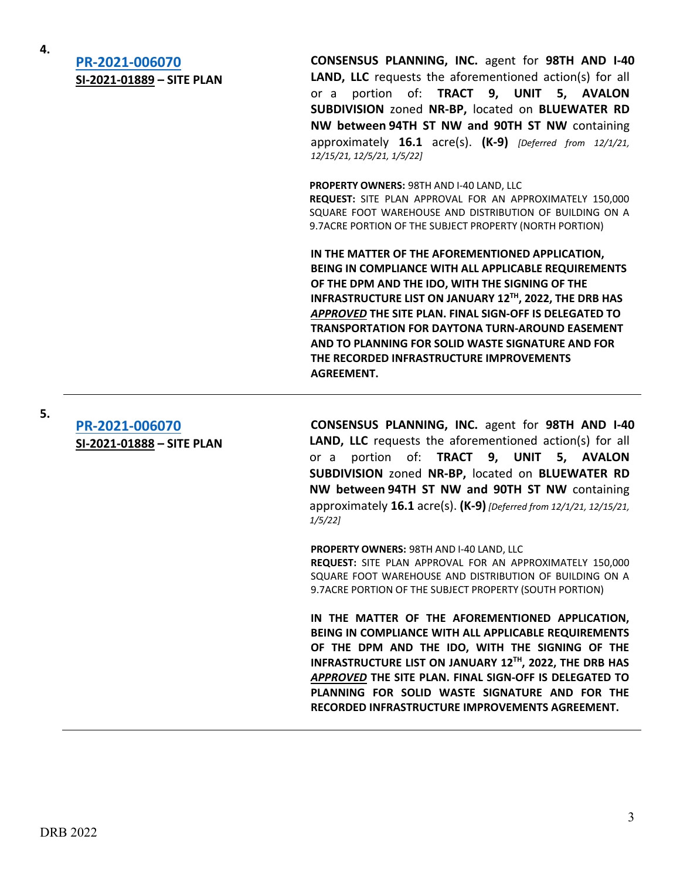**4.**

**5.**

# **[PR-2021-006070](http://data.cabq.gov/government/planning/DRB/PR-2021-006070/DRB%20Submittals/) SI-2021-01889 – SITE PLAN**

**CONSENSUS PLANNING, INC.** agent for **98TH AND I-40 LAND, LLC** requests the aforementioned action(s) for all or a portion of: **TRACT 9, UNIT 5, AVALON SUBDIVISION** zoned **NR-BP,** located on **BLUEWATER RD NW between 94TH ST NW and 90TH ST NW** containing approximately **16.1** acre(s). **(K-9)** *[Deferred from 12/1/21, 12/15/21, 12/5/21, 1/5/22]*

**PROPERTY OWNERS:** 98TH AND I-40 LAND, LLC **REQUEST:** SITE PLAN APPROVAL FOR AN APPROXIMATELY 150,000 SQUARE FOOT WAREHOUSE AND DISTRIBUTION OF BUILDING ON A 9.7ACRE PORTION OF THE SUBJECT PROPERTY (NORTH PORTION)

**IN THE MATTER OF THE AFOREMENTIONED APPLICATION, BEING IN COMPLIANCE WITH ALL APPLICABLE REQUIREMENTS OF THE DPM AND THE IDO, WITH THE SIGNING OF THE INFRASTRUCTURE LIST ON JANUARY 12TH, 2022, THE DRB HAS**  *APPROVED* **THE SITE PLAN. FINAL SIGN-OFF IS DELEGATED TO TRANSPORTATION FOR DAYTONA TURN-AROUND EASEMENT AND TO PLANNING FOR SOLID WASTE SIGNATURE AND FOR THE RECORDED INFRASTRUCTURE IMPROVEMENTS AGREEMENT.**

**[PR-2021-006070](http://data.cabq.gov/government/planning/DRB/PR-2021-006070/DRB%20Submittals/) SI-2021-01888 – SITE PLAN**

**CONSENSUS PLANNING, INC.** agent for **98TH AND I-40 LAND, LLC** requests the aforementioned action(s) for all or a portion of: **TRACT 9, UNIT 5, AVALON SUBDIVISION** zoned **NR-BP,** located on **BLUEWATER RD NW between 94TH ST NW and 90TH ST NW** containing approximately **16.1** acre(s). **(K-9)** *[Deferred from 12/1/21, 12/15/21, 1/5/22]*

**PROPERTY OWNERS:** 98TH AND I-40 LAND, LLC

**REQUEST:** SITE PLAN APPROVAL FOR AN APPROXIMATELY 150,000 SQUARE FOOT WAREHOUSE AND DISTRIBUTION OF BUILDING ON A 9.7ACRE PORTION OF THE SUBJECT PROPERTY (SOUTH PORTION)

**IN THE MATTER OF THE AFOREMENTIONED APPLICATION, BEING IN COMPLIANCE WITH ALL APPLICABLE REQUIREMENTS OF THE DPM AND THE IDO, WITH THE SIGNING OF THE INFRASTRUCTURE LIST ON JANUARY 12TH, 2022, THE DRB HAS**  *APPROVED* **THE SITE PLAN. FINAL SIGN-OFF IS DELEGATED TO PLANNING FOR SOLID WASTE SIGNATURE AND FOR THE RECORDED INFRASTRUCTURE IMPROVEMENTS AGREEMENT.**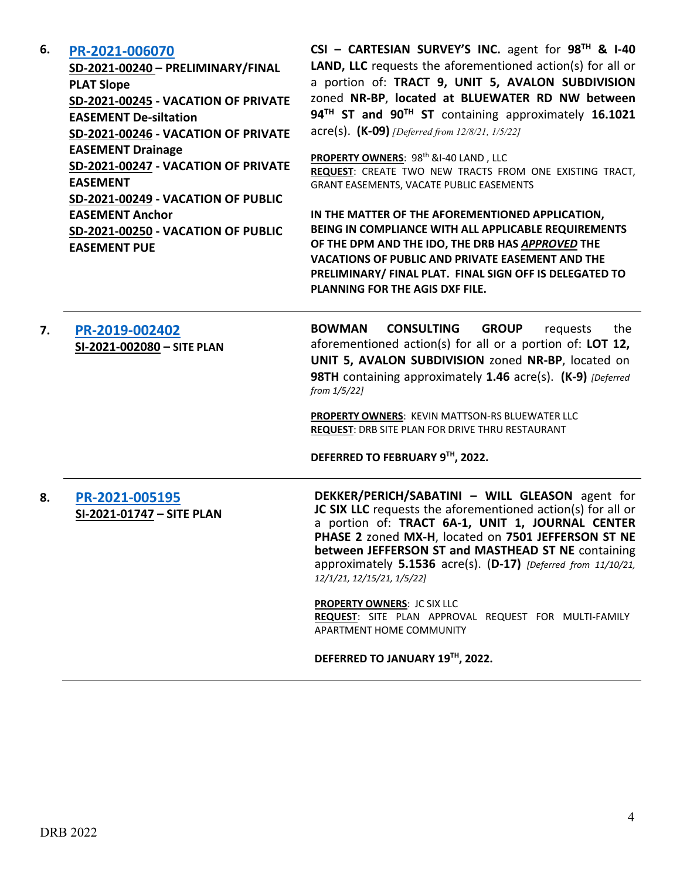#### **6. [PR-2021-006070](http://data.cabq.gov/government/planning/DRB/PR-2021-006070/DRB%20Submittals/)**

**SD-2021-00240 – PRELIMINARY/FINAL PLAT Slope SD-2021-00245 - VACATION OF PRIVATE EASEMENT De-siltation SD-2021-00246 - VACATION OF PRIVATE EASEMENT Drainage SD-2021-00247 - VACATION OF PRIVATE EASEMENT SD-2021-00249 - VACATION OF PUBLIC EASEMENT Anchor SD-2021-00250 - VACATION OF PUBLIC EASEMENT PUE**

**CSI – CARTESIAN SURVEY'S INC.** agent for **98TH & I-40 LAND, LLC** requests the aforementioned action(s) for all or a portion of: **TRACT 9, UNIT 5, AVALON SUBDIVISION**  zoned **NR-BP**, **located at BLUEWATER RD NW between 94TH ST and 90TH ST** containing approximately **16.1021** acre(s). **(K-09)** *[Deferred from 12/8/21, 1/5/22]*

PROPERTY OWNERS: 98<sup>th</sup> &I-40 LAND, LLC **REQUEST**: CREATE TWO NEW TRACTS FROM ONE EXISTING TRACT, GRANT EASEMENTS, VACATE PUBLIC EASEMENTS

**IN THE MATTER OF THE AFOREMENTIONED APPLICATION, BEING IN COMPLIANCE WITH ALL APPLICABLE REQUIREMENTS OF THE DPM AND THE IDO, THE DRB HAS** *APPROVED* **THE VACATIONS OF PUBLIC AND PRIVATE EASEMENT AND THE PRELIMINARY/ FINAL PLAT. FINAL SIGN OFF IS DELEGATED TO PLANNING FOR THE AGIS DXF FILE.**

**7. [PR-2019-002402](http://data.cabq.gov/government/planning/DRB/PR-2019-002402/DRB%20Submittals/) SI-2021-002080 – SITE PLAN**

**BOWMAN CONSULTING GROUP** requests the aforementioned action(s) for all or a portion of: **LOT 12, UNIT 5, AVALON SUBDIVISION** zoned **NR-BP**, located on **98TH** containing approximately **1.46** acre(s). **(K-9)** *[Deferred from 1/5/22]*

**PROPERTY OWNERS**: KEVIN MATTSON-RS BLUEWATER LLC **REQUEST**: DRB SITE PLAN FOR DRIVE THRU RESTAURANT

**DEFERRED TO FEBRUARY 9TH, 2022.**

**8. [PR-2021-005195](http://data.cabq.gov/government/planning/DRB/PR-2021-005195/DRB%20Submittals/) SI-2021-01747 – SITE PLAN**

**DEKKER/PERICH/SABATINI – WILL GLEASON** agent for **JC SIX LLC** requests the aforementioned action(s) for all or a portion of: **TRACT 6A-1, UNIT 1, JOURNAL CENTER PHASE 2** zoned **MX-H**, located on **7501 JEFFERSON ST NE between JEFFERSON ST and MASTHEAD ST NE** containing approximately **5.1536** acre(s). (**D-17)** *[Deferred from 11/10/21, 12/1/21, 12/15/21, 1/5/22]*

**PROPERTY OWNERS**: JC SIX LLC **REQUEST**: SITE PLAN APPROVAL REQUEST FOR MULTI-FAMILY APARTMENT HOME COMMUNITY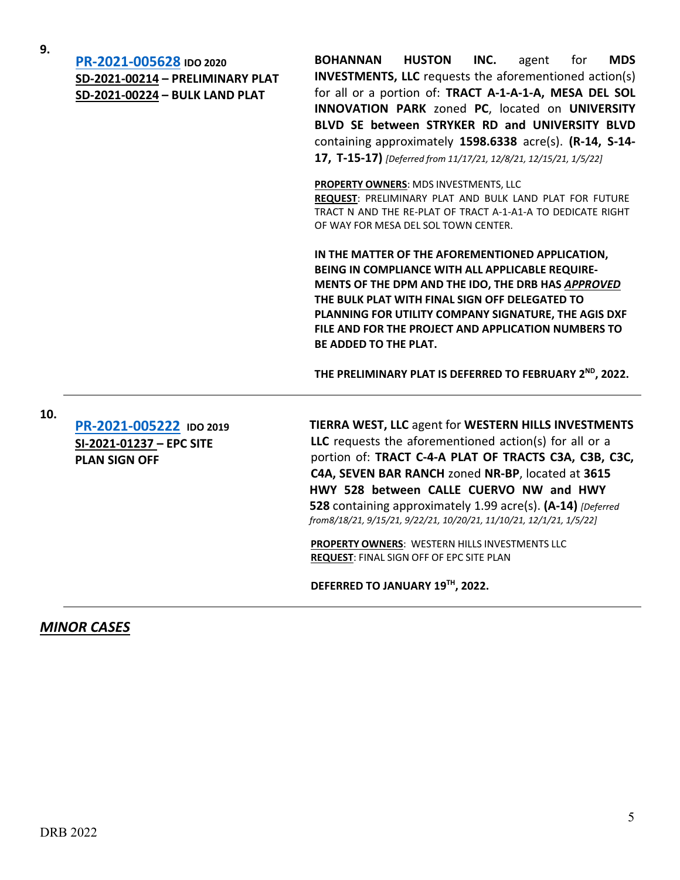**9. [PR-2021-005628](http://data.cabq.gov/government/planning/DRB/PR-2021-005628/DRB%20Submittals/) IDO <sup>2020</sup> SD-2021-00214 – PRELIMINARY PLAT SD-2021-00224 – BULK LAND PLAT**

**BOHANNAN HUSTON INC.** agent for **MDS INVESTMENTS, LLC** requests the aforementioned action(s) for all or a portion of: **TRACT A-1-A-1-A, MESA DEL SOL INNOVATION PARK** zoned **PC**, located on **UNIVERSITY BLVD SE between STRYKER RD and UNIVERSITY BLVD** containing approximately **1598.6338** acre(s). **(R-14, S-14- 17, T-15-17)** *[Deferred from 11/17/21, 12/8/21, 12/15/21, 1/5/22]*

**PROPERTY OWNERS**: MDS INVESTMENTS, LLC **REQUEST**: PRELIMINARY PLAT AND BULK LAND PLAT FOR FUTURE TRACT N AND THE RE-PLAT OF TRACT A-1-A1-A TO DEDICATE RIGHT OF WAY FOR MESA DEL SOL TOWN CENTER.

**IN THE MATTER OF THE AFOREMENTIONED APPLICATION, BEING IN COMPLIANCE WITH ALL APPLICABLE REQUIRE-MENTS OF THE DPM AND THE IDO, THE DRB HAS** *APPROVED* **THE BULK PLAT WITH FINAL SIGN OFF DELEGATED TO PLANNING FOR UTILITY COMPANY SIGNATURE, THE AGIS DXF FILE AND FOR THE PROJECT AND APPLICATION NUMBERS TO BE ADDED TO THE PLAT.**

**THE PRELIMINARY PLAT IS DEFERRED TO FEBRUARY 2ND, 2022.**

**10.**

**[PR-2021-005222](http://data.cabq.gov/government/planning/DRB/PR-2021-005222/DRB%20Submittals/) IDO 2019 SI-2021-01237 – EPC SITE PLAN SIGN OFF**

**TIERRA WEST, LLC** agent for **WESTERN HILLS INVESTMENTS LLC** requests the aforementioned action(s) for all or a portion of: **TRACT C-4-A PLAT OF TRACTS C3A, C3B, C3C, C4A, SEVEN BAR RANCH** zoned **NR-BP**, located at **3615 HWY 528 between CALLE CUERVO NW and HWY 528** containing approximately 1.99 acre(s). **(A-14)** *[Deferred from8/18/21, 9/15/21, 9/22/21, 10/20/21, 11/10/21, 12/1/21, 1/5/22]*

**PROPERTY OWNERS**: WESTERN HILLS INVESTMENTS LLC **REQUEST**: FINAL SIGN OFF OF EPC SITE PLAN

**DEFERRED TO JANUARY 19TH, 2022.**

## *MINOR CASES*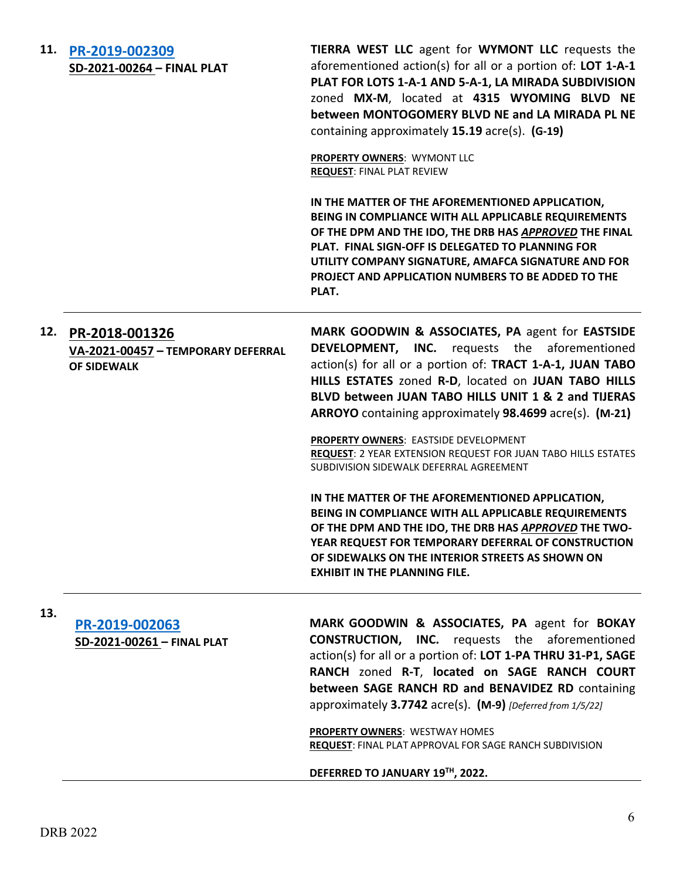| 11. | PR-2019-002309<br>SD-2021-00264 - FINAL PLAT                               | TIERRA WEST LLC agent for WYMONT LLC requests the<br>aforementioned action(s) for all or a portion of: LOT 1-A-1<br>PLAT FOR LOTS 1-A-1 AND 5-A-1, LA MIRADA SUBDIVISION<br>zoned MX-M, located at 4315 WYOMING BLVD NE<br>between MONTOGOMERY BLVD NE and LA MIRADA PL NE<br>containing approximately 15.19 acre(s). (G-19)<br><b>PROPERTY OWNERS: WYMONT LLC</b><br><b>REQUEST: FINAL PLAT REVIEW</b> |
|-----|----------------------------------------------------------------------------|---------------------------------------------------------------------------------------------------------------------------------------------------------------------------------------------------------------------------------------------------------------------------------------------------------------------------------------------------------------------------------------------------------|
|     |                                                                            | IN THE MATTER OF THE AFOREMENTIONED APPLICATION,<br>BEING IN COMPLIANCE WITH ALL APPLICABLE REQUIREMENTS<br>OF THE DPM AND THE IDO, THE DRB HAS APPROVED THE FINAL<br>PLAT. FINAL SIGN-OFF IS DELEGATED TO PLANNING FOR<br>UTILITY COMPANY SIGNATURE, AMAFCA SIGNATURE AND FOR<br>PROJECT AND APPLICATION NUMBERS TO BE ADDED TO THE<br>PLAT.                                                           |
| 12. | PR-2018-001326<br>VA-2021-00457 - TEMPORARY DEFERRAL<br><b>OF SIDEWALK</b> | MARK GOODWIN & ASSOCIATES, PA agent for EASTSIDE<br><b>DEVELOPMENT, INC.</b> requests the aforementioned<br>action(s) for all or a portion of: TRACT 1-A-1, JUAN TABO<br>HILLS ESTATES zoned R-D, located on JUAN TABO HILLS<br>BLVD between JUAN TABO HILLS UNIT 1 & 2 and TIJERAS<br>ARROYO containing approximately 98.4699 acre(s). (M-21)<br>PROPERTY OWNERS: EASTSIDE DEVELOPMENT                 |
|     |                                                                            | REQUEST: 2 YEAR EXTENSION REQUEST FOR JUAN TABO HILLS ESTATES<br>SUBDIVISION SIDEWALK DEFERRAL AGREEMENT<br>IN THE MATTER OF THE AFOREMENTIONED APPLICATION,<br>BEING IN COMPLIANCE WITH ALL APPLICABLE REQUIREMENTS                                                                                                                                                                                    |
|     |                                                                            | OF THE DPM AND THE IDO, THE DRB HAS APPROVED THE TWO-<br>YEAR REQUEST FOR TEMPORARY DEFERRAL OF CONSTRUCTION<br>OF SIDEWALKS ON THE INTERIOR STREETS AS SHOWN ON<br><b>EXHIBIT IN THE PLANNING FILE.</b>                                                                                                                                                                                                |
| 13. |                                                                            | MARK GOODWIN & ASSOCIATES, PA agent for BOKAY                                                                                                                                                                                                                                                                                                                                                           |
|     | PR-2019-002063<br>SD-2021-00261 - FINAL PLAT                               | <b>CONSTRUCTION, INC.</b> requests the aforementioned<br>action(s) for all or a portion of: LOT 1-PA THRU 31-P1, SAGE<br>RANCH zoned R-T, located on SAGE RANCH COURT<br>between SAGE RANCH RD and BENAVIDEZ RD containing                                                                                                                                                                              |

approximately **3.7742** acre(s). **(M-9)** *[Deferred from 1/5/22]*

**PROPERTY OWNERS**: WESTWAY HOMES **REQUEST**: FINAL PLAT APPROVAL FOR SAGE RANCH SUBDIVISION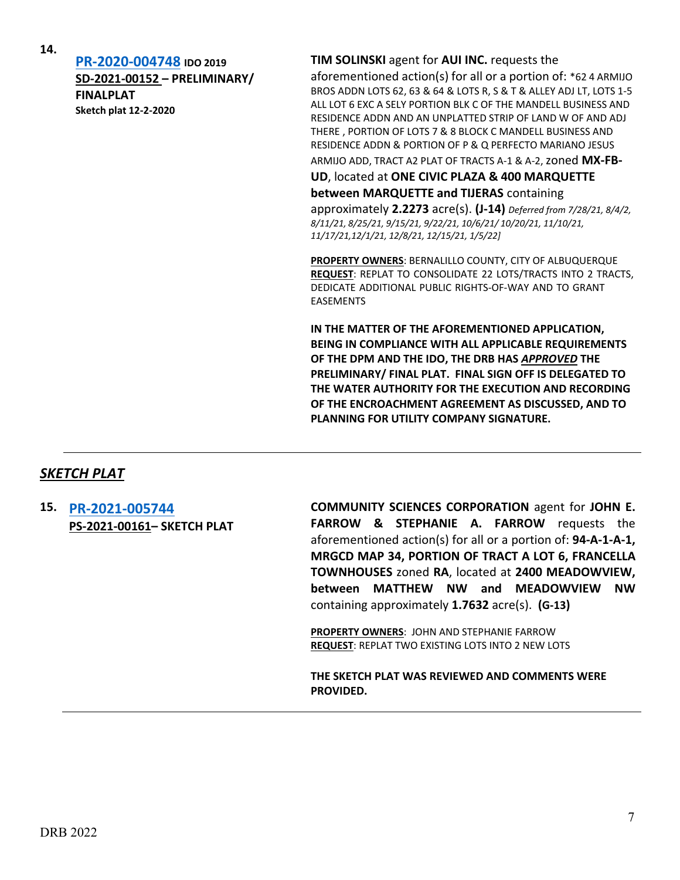**14.**

**[PR-2020-004748](http://data.cabq.gov/government/planning/DRB/PR-2020-004748/DRB%20Submittals/) IDO 2019 SD-2021-00152 – PRELIMINARY/ FINALPLAT Sketch plat 12-2-2020**

#### **TIM SOLINSKI** agent for **AUI INC.** requests the

aforementioned action(s) for all or a portion of: \*62 4 ARMIJO BROS ADDN LOTS 62, 63 & 64 & LOTS R, S & T & ALLEY ADJ LT, LOTS 1-5 ALL LOT 6 EXC A SELY PORTION BLK C OF THE MANDELL BUSINESS AND RESIDENCE ADDN AND AN UNPLATTED STRIP OF LAND W OF AND ADJ THERE , PORTION OF LOTS 7 & 8 BLOCK C MANDELL BUSINESS AND RESIDENCE ADDN & PORTION OF P & Q PERFECTO MARIANO JESUS

ARMIJO ADD, TRACT A2 PLAT OF TRACTS A-1 & A-2, zoned **MX-FB-**

**UD**, located at **ONE CIVIC PLAZA & 400 MARQUETTE** 

**between MARQUETTE and TIJERAS** containing

approximately **2.2273** acre(s). **(J-14)** *Deferred from 7/28/21, 8/4/2, 8/11/21, 8/25/21, 9/15/21, 9/22/21, 10/6/21/ 10/20/21, 11/10/21, 11/17/21,12/1/21, 12/8/21, 12/15/21, 1/5/22]*

**PROPERTY OWNERS**: BERNALILLO COUNTY, CITY OF ALBUQUERQUE **REQUEST**: REPLAT TO CONSOLIDATE 22 LOTS/TRACTS INTO 2 TRACTS, DEDICATE ADDITIONAL PUBLIC RIGHTS-OF-WAY AND TO GRANT EASEMENTS

**IN THE MATTER OF THE AFOREMENTIONED APPLICATION, BEING IN COMPLIANCE WITH ALL APPLICABLE REQUIREMENTS OF THE DPM AND THE IDO, THE DRB HAS** *APPROVED* **THE PRELIMINARY/ FINAL PLAT. FINAL SIGN OFF IS DELEGATED TO THE WATER AUTHORITY FOR THE EXECUTION AND RECORDING OF THE ENCROACHMENT AGREEMENT AS DISCUSSED, AND TO PLANNING FOR UTILITY COMPANY SIGNATURE.**

## *SKETCH PLAT*

**15. [PR-2021-005744](http://data.cabq.gov/government/planning/DRB/PR-2021-005744/DRB%20Submittals/PR-2021-005744%20(PS-2021-00161)%20Jan_12_2022/) PS-2021-00161– SKETCH PLAT** **COMMUNITY SCIENCES CORPORATION** agent for **JOHN E. FARROW & STEPHANIE A. FARROW** requests the aforementioned action(s) for all or a portion of: **94-A-1-A-1, MRGCD MAP 34, PORTION OF TRACT A LOT 6, FRANCELLA TOWNHOUSES** zoned **RA**, located at **2400 MEADOWVIEW, between MATTHEW NW and MEADOWVIEW NW** containing approximately **1.7632** acre(s). **(G-13)**

**PROPERTY OWNERS**: JOHN AND STEPHANIE FARROW **REQUEST**: REPLAT TWO EXISTING LOTS INTO 2 NEW LOTS

**THE SKETCH PLAT WAS REVIEWED AND COMMENTS WERE PROVIDED.**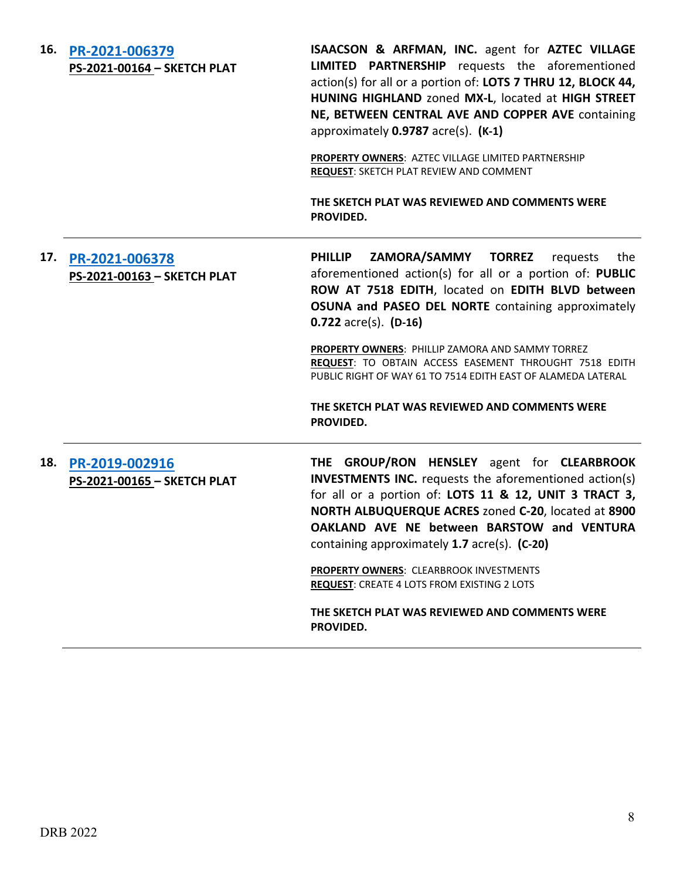**16. [PR-2021-006379](http://data.cabq.gov/government/planning/DRB/PR-2021-006379/DRB%20Submittals/PR-2021-006379%20%20%20%20PS-2021-00164%20%20%20DRB%20-%20Jan%2012,%202022/) PS-2021-00164 – SKETCH PLAT** **ISAACSON & ARFMAN, INC.** agent for **AZTEC VILLAGE LIMITED PARTNERSHIP** requests the aforementioned action(s) for all or a portion of: **LOTS 7 THRU 12, BLOCK 44, HUNING HIGHLAND** zoned **MX-L**, located at **HIGH STREET NE, BETWEEN CENTRAL AVE AND COPPER AVE** containing approximately **0.9787** acre(s). **(K-1)**

**PROPERTY OWNERS**: AZTEC VILLAGE LIMITED PARTNERSHIP **REQUEST**: SKETCH PLAT REVIEW AND COMMENT

**THE SKETCH PLAT WAS REVIEWED AND COMMENTS WERE PROVIDED.**

# **17. [PR-2021-006378](http://data.cabq.gov/government/planning/DRB/PR-2021-006378/DRB%20Submittals/PR-2021-006378%20%20%20%20PS-2021-00163%20%20%20%20%20%20DRB%20-%20Jan%2012,%202022/) PS-2021-00163 – SKETCH PLAT**

**PHILLIP ZAMORA/SAMMY TORREZ** requests the aforementioned action(s) for all or a portion of: **PUBLIC ROW AT 7518 EDITH**, located on **EDITH BLVD between OSUNA and PASEO DEL NORTE** containing approximately **0.722** acre(s). **(D-16)**

**PROPERTY OWNERS**: PHILLIP ZAMORA AND SAMMY TORREZ **REQUEST**: TO OBTAIN ACCESS EASEMENT THROUGHT 7518 EDITH PUBLIC RIGHT OF WAY 61 TO 7514 EDITH EAST OF ALAMEDA LATERAL

**THE SKETCH PLAT WAS REVIEWED AND COMMENTS WERE PROVIDED.**

## **18. [PR-2019-002916](http://data.cabq.gov/government/planning/DRB/PR-2019-002916/DRB%20Comments/%2311%20PR-2019-002905_Jan_15_2020/) PS-2021-00165 – SKETCH PLAT**

**THE GROUP/RON HENSLEY** agent for **CLEARBROOK INVESTMENTS INC.** requests the aforementioned action(s) for all or a portion of: **LOTS 11 & 12, UNIT 3 TRACT 3, NORTH ALBUQUERQUE ACRES** zoned **C-20**, located at **8900 OAKLAND AVE NE between BARSTOW and VENTURA**  containing approximately **1.7** acre(s). **(C-20)**

**PROPERTY OWNERS**: CLEARBROOK INVESTMENTS **REQUEST**: CREATE 4 LOTS FROM EXISTING 2 LOTS

**THE SKETCH PLAT WAS REVIEWED AND COMMENTS WERE PROVIDED.**